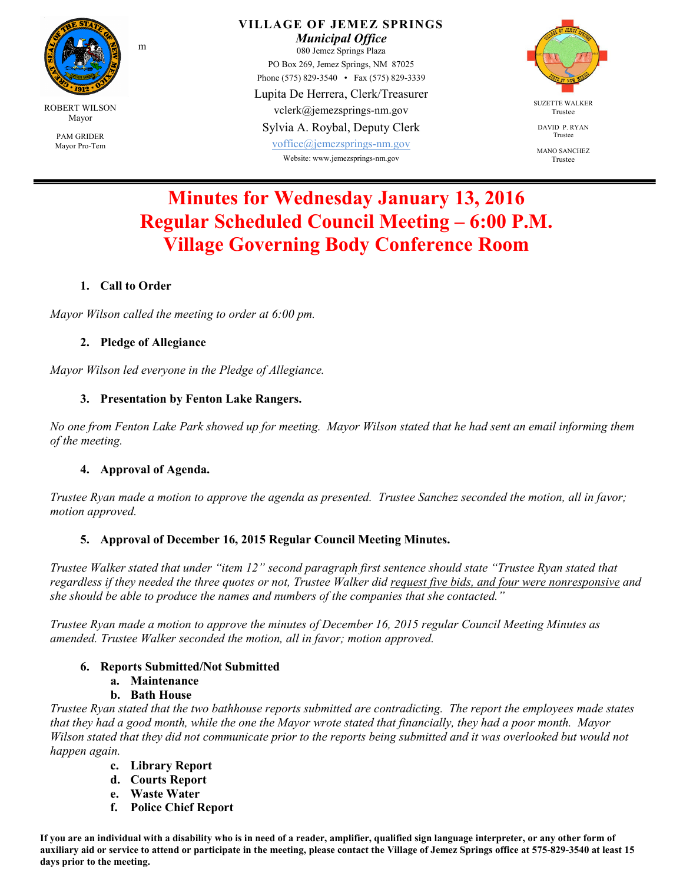

**VILLAGE OF JEMEZ SPRINGS**  *Municipal Office*  080 Jemez Springs Plaza PO Box 269, Jemez Springs, NM 87025 Phone (575) 829-3540 • Fax (575) 829-3339 Lupita De Herrera, Clerk/Treasurer vclerk@jemezsprings-nm.gov Sylvia A. Roybal, Deputy Clerk

voffice@jemezsprings-nm.gov Website: www.jemezsprings-nm.gov



DAVID P. RYAN Trustee

MANO SANCHEZ Trustee

# **Minutes for Wednesday January 13, 2016 Regular Scheduled Council Meeting – 6:00 P.M. Village Governing Body Conference Room**

## **1. Call to Order**

*Mayor Wilson called the meeting to order at 6:00 pm.* 

#### **2. Pledge of Allegiance**

m

*Mayor Wilson led everyone in the Pledge of Allegiance.* 

#### **3. Presentation by Fenton Lake Rangers.**

*No one from Fenton Lake Park showed up for meeting. Mayor Wilson stated that he had sent an email informing them of the meeting.* 

#### **4. Approval of Agenda.**

*Trustee Ryan made a motion to approve the agenda as presented. Trustee Sanchez seconded the motion, all in favor; motion approved.* 

#### **5. Approval of December 16, 2015 Regular Council Meeting Minutes.**

*Trustee Walker stated that under "item 12" second paragraph first sentence should state "Trustee Ryan stated that regardless if they needed the three quotes or not, Trustee Walker did request five bids, and four were nonresponsive and she should be able to produce the names and numbers of the companies that she contacted."* 

*Trustee Ryan made a motion to approve the minutes of December 16, 2015 regular Council Meeting Minutes as amended. Trustee Walker seconded the motion, all in favor; motion approved.* 

#### **6. Reports Submitted/Not Submitted**

- **a. Maintenance**
- **b. Bath House**

*Trustee Ryan stated that the two bathhouse reports submitted are contradicting. The report the employees made states that they had a good month, while the one the Mayor wrote stated that financially, they had a poor month. Mayor Wilson stated that they did not communicate prior to the reports being submitted and it was overlooked but would not happen again.* 

- **c. Library Report**
- **d. Courts Report**
- **e. Waste Water**
- **f. Police Chief Report**

**If you are an individual with a disability who is in need of a reader, amplifier, qualified sign language interpreter, or any other form of auxiliary aid or service to attend or participate in the meeting, please contact the Village of Jemez Springs office at 575-829-3540 at least 15 days prior to the meeting.**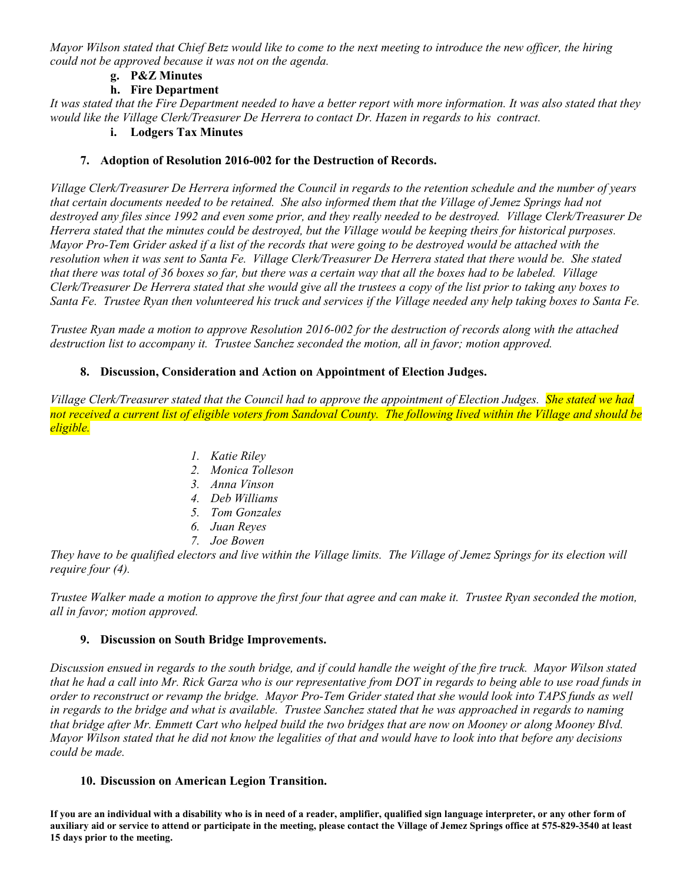*Mayor Wilson stated that Chief Betz would like to come to the next meeting to introduce the new officer, the hiring could not be approved because it was not on the agenda.*

#### **g. P&Z Minutes**

### **h. Fire Department**

*It was stated that the Fire Department needed to have a better report with more information. It was also stated that they would like the Village Clerk/Treasurer De Herrera to contact Dr. Hazen in regards to his contract.* 

## **i. Lodgers Tax Minutes**

#### **7. Adoption of Resolution 2016-002 for the Destruction of Records.**

*Village Clerk/Treasurer De Herrera informed the Council in regards to the retention schedule and the number of years*  that certain documents needed to be retained. She also informed them that the Village of Jemez Springs had not *destroyed any files since 1992 and even some prior, and they really needed to be destroyed. Village Clerk/Treasurer De Herrera stated that the minutes could be destroyed, but the Village would be keeping theirs for historical purposes. Mayor Pro-Tem Grider asked if a list of the records that were going to be destroyed would be attached with the*  resolution when it was sent to Santa Fe. Village Clerk/Treasurer De Herrera stated that there would be. She stated *that there was total of 36 boxes so far, but there was a certain way that all the boxes had to be labeled. Village Clerk/Treasurer De Herrera stated that she would give all the trustees a copy of the list prior to taking any boxes to Santa Fe. Trustee Ryan then volunteered his truck and services if the Village needed any help taking boxes to Santa Fe.* 

*Trustee Ryan made a motion to approve Resolution 2016-002 for the destruction of records along with the attached destruction list to accompany it. Trustee Sanchez seconded the motion, all in favor; motion approved.*

#### **8. Discussion, Consideration and Action on Appointment of Election Judges.**

*Village Clerk/Treasurer stated that the Council had to approve the appointment of Election Judges. She stated we had not received a current list of eligible voters from Sandoval County. The following lived within the Village and should be eligible.* 

- *1. Katie Riley*
- *2. Monica Tolleson*
- *3. Anna Vinson*
- *4. Deb Williams*
- *5. Tom Gonzales*
- *6. Juan Reyes*
- *7. Joe Bowen*

*They have to be qualified electors and live within the Village limits. The Village of Jemez Springs for its election will require four (4).* 

*Trustee Walker made a motion to approve the first four that agree and can make it. Trustee Ryan seconded the motion, all in favor; motion approved.* 

#### **9. Discussion on South Bridge Improvements.**

*Discussion ensued in regards to the south bridge, and if could handle the weight of the fire truck. Mayor Wilson stated that he had a call into Mr. Rick Garza who is our representative from DOT in regards to being able to use road funds in order to reconstruct or revamp the bridge. Mayor Pro-Tem Grider stated that she would look into TAPS funds as well in regards to the bridge and what is available. Trustee Sanchez stated that he was approached in regards to naming that bridge after Mr. Emmett Cart who helped build the two bridges that are now on Mooney or along Mooney Blvd. Mayor Wilson stated that he did not know the legalities of that and would have to look into that before any decisions could be made.* 

#### **10. Discussion on American Legion Transition.**

**If you are an individual with a disability who is in need of a reader, amplifier, qualified sign language interpreter, or any other form of auxiliary aid or service to attend or participate in the meeting, please contact the Village of Jemez Springs office at 575-829-3540 at least 15 days prior to the meeting.**